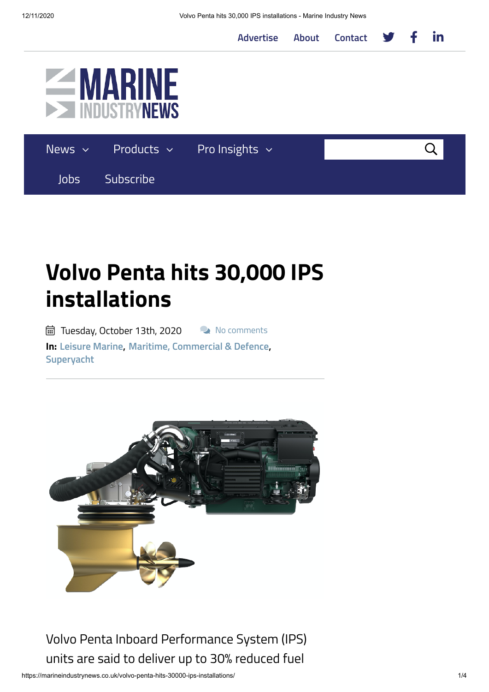**[Advertise](https://marineindustrynews.co.uk/advertise/) [About](https://marineindustrynews.co.uk/about/) [Contact](https://marineindustrynews.co.uk/contact/)**





## **Volvo Penta hits 30,000 IPS installations**

pdfil Tuesday, October 13th, 2020 No comments **In: [Leisure](https://marineindustrynews.co.uk/category/leisure-marine/) Marine, Maritime, [Commercial](https://marineindustrynews.co.uk/category/maritime-commercial-defence/) & Defence, [Superyacht](https://marineindustrynews.co.uk/category/superyacht/)**



Volvo Penta Inboard Performance System (IPS) units are said to deliver up to 30% reduced fuel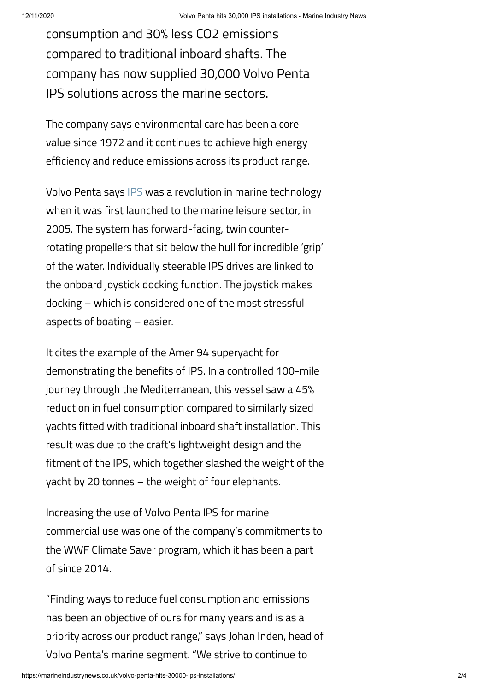consumption and 30% less CO2 emissions compared to traditional inboard shafts. The company has now supplied 30,000 Volvo Penta IPS solutions across the marine sectors.

The company says environmental care has been a core value since 1972 and it continues to achieve high energy efficiency and reduce emissions across its product range.

Volvo Penta says [IPS](https://www.volvopenta.com/marine/products/volvo-penta-ips/) was a revolution in marine technology when it was first launched to the marine leisure sector, in 2005. The system has forward-facing, twin counterrotating propellers that sit below the hull for incredible 'grip' of the water. Individually steerable IPS drives are linked to the onboard joystick docking function. The joystick makes docking – which is considered one of the most stressful aspects of boating – easier.

It cites the example of the Amer 94 superyacht for demonstrating the benefits of IPS. In a controlled 100-mile journey through the Mediterranean, this vessel saw a 45% reduction in fuel consumption compared to similarly sized yachts fitted with traditional inboard shaft installation. This result was due to the craft's lightweight design and the fitment of the IPS, which together slashed the weight of the yacht by 20 tonnes – the weight of four elephants.

Increasing the use of Volvo Penta IPS for marine commercial use was one of the company's commitments to the WWF Climate Saver program, which it has been a part of since 2014.

"Finding ways to reduce fuel consumption and emissions has been an objective of ours for many years and is as a priority across our product range," says Johan Inden, head of Volvo Penta's marine segment. "We strive to continue to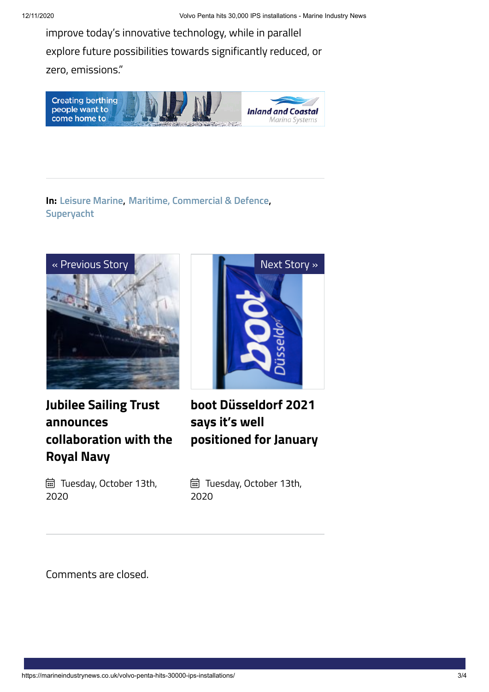improve today's innovative technology, while in parallel explore future possibilities towards significantly reduced, or zero, emissions."



## **In: [Leisure](https://marineindustrynews.co.uk/category/leisure-marine/) Marine, Maritime, [Commercial](https://marineindustrynews.co.uk/category/maritime-commercial-defence/) & Defence, [Superyacht](https://marineindustrynews.co.uk/category/superyacht/)**



**Jubilee Sailing Trust announces [collaboration](https://marineindustrynews.co.uk/jubilee-sailing-trust-announces-collaboration-with-the-royal-navy/) with the Royal Navy**



**boot [Düsseldorf](https://marineindustrynews.co.uk/boot-dusseldorf-2021-says-its-well-positioned-for-january/) 2021 says it's well positioned for January**

 Tuesday, October 13th, 2020

 Tuesday, October 13th, 2020

Comments are closed.